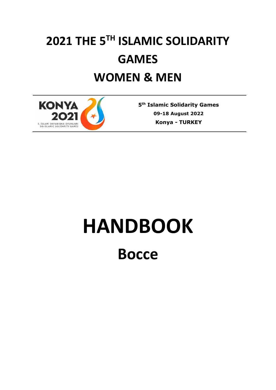# **2021 THE 5TH ISLAMIC SOLIDARITY GAMES WOMEN & MEN**



**5 th Islamic Solidarity Games 09-18 August 2022 Konya** *-* **TURKEY**

# **HANDBOOK**

**Bocce**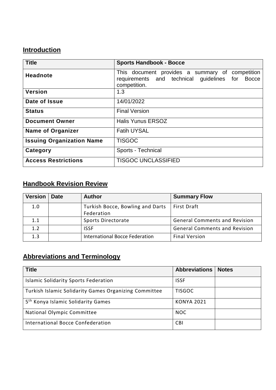# **Introduction**

| <b>Title</b>                     | <b>Sports Handbook - Bocce</b>                                                                                     |  |  |  |
|----------------------------------|--------------------------------------------------------------------------------------------------------------------|--|--|--|
| <b>Headnote</b>                  | This document provides a summary of competition<br>requirements and technical guidelines for Bocce<br>competition. |  |  |  |
| <b>Version</b>                   | 1.3                                                                                                                |  |  |  |
| Date of Issue                    | 14/01/2022                                                                                                         |  |  |  |
| <b>Status</b>                    | <b>Final Version</b>                                                                                               |  |  |  |
| <b>Document Owner</b>            | <b>Halis Yunus ERSOZ</b>                                                                                           |  |  |  |
| <b>Name of Organizer</b>         | <b>Fatih UYSAL</b>                                                                                                 |  |  |  |
| <b>Issuing Organization Name</b> | <b>TISGOC</b>                                                                                                      |  |  |  |
| Category                         | Sports - Technical                                                                                                 |  |  |  |
| <b>Access Restrictions</b>       | <b>TISGOC UNCLASSIFIED</b>                                                                                         |  |  |  |

### **Handbook Revision Review**

| <b>Version</b> | <b>Date</b> | <b>Author</b>                    | <b>Summary Flow</b>                  |
|----------------|-------------|----------------------------------|--------------------------------------|
| 1.0            |             | Turkish Bocce, Bowling and Darts | <b>First Draft</b>                   |
|                |             | Federation                       |                                      |
| 1.1            |             | Sports Directorate               | <b>General Comments and Revision</b> |
| 1.2            |             | <b>ISSF</b>                      | <b>General Comments and Revision</b> |
| 1.3            |             | International Bocce Federation   | <b>Final Version</b>                 |

# **Abbreviations and Terminology**

| <b>Title</b>                                          | <b>Abbreviations</b> | <b>Notes</b> |
|-------------------------------------------------------|----------------------|--------------|
| <b>Islamic Solidarity Sports Federation</b>           | <b>ISSF</b>          |              |
| Turkish Islamic Solidarity Games Organizing Committee | <b>TISGOC</b>        |              |
| 5 <sup>th</sup> Konya Islamic Solidarity Games        | <b>KONYA 2021</b>    |              |
| National Olympic Committee                            | <b>NOC</b>           |              |
| International Bocce Confederation                     | <b>CBI</b>           |              |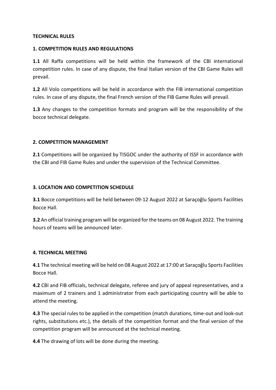#### **TECHNICAL RULES**

#### **1. COMPETITION RULES AND REGULATIONS**

**1.1** All Raffa competitions will be held within the framework of the CBI international competition rules. In case of any dispute, the final Italian version of the CBI Game Rules will prevail.

**1.2** All Volo competitions will be held in accordance with the FIB international competition rules. In case of any dispute, the final French version of the FIB Game Rules will prevail.

**1.3** Any changes to the competition formats and program will be the responsibility of the bocce technical delegate.

#### **2. COMPETITION MANAGEMENT**

**2.1** Competitions will be organized by TISGOC under the authority of ISSF in accordance with the CBI and FIB Game Rules and under the supervision of the Technical Committee.

#### **3. LOCATION AND COMPETITION SCHEDULE**

**3.1** Bocce competitions will be held between 09-12 August 2022 at Saraçoğlu Sports Facilities Bocce Hall.

**3.2** An official training program will be organized for the teams on 08 August 2022. The training hours of teams will be announced later.

#### **4. TECHNICAL MEETING**

**4.1** The technical meeting will be held on 08 August 2022 at 17:00 at Saraçoğlu Sports Facilities Bocce Hall.

**4.2** CBI and FIB officials, technical delegate, referee and jury of appeal representatives, and a maximum of 2 trainers and 1 administrator from each participating country will be able to attend the meeting.

**4.3** The special rules to be applied in the competition (match durations, time-out and look-out rights, substitutions etc.), the details of the competition format and the final version of the competition program will be announced at the technical meeting.

**4.4** The drawing of lots will be done during the meeting.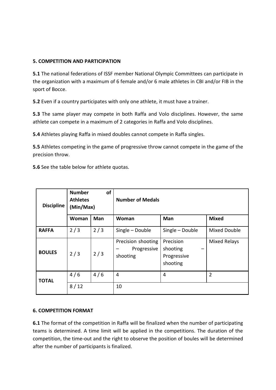#### **5. COMPETITION AND PARTICIPATION**

**5.1** The national federations of ISSF member National Olympic Committees can participate in the organization with a maximum of 6 female and/or 6 male athletes in CBI and/or FIB in the sport of Bocce.

**5.2** Even if a country participates with only one athlete, it must have a trainer.

**5.3** The same player may compete in both Raffa and Volo disciplines. However, the same athlete can compete in a maximum of 2 categories in Raffa and Volo disciplines.

**5.4** Athletes playing Raffa in mixed doubles cannot compete in Raffa singles.

**5.5** Athletes competing in the game of progressive throw cannot compete in the game of the precision throw.

**5.6** See the table below for athlete quotas.

| <b>Discipline</b> | of<br><b>Number</b><br><b>Athletes</b><br>(Min/Max) |     | <b>Number of Medals</b>                       |                                                  |                     |  |
|-------------------|-----------------------------------------------------|-----|-----------------------------------------------|--------------------------------------------------|---------------------|--|
|                   | Woman                                               | Man | Woman                                         | Man                                              | <b>Mixed</b>        |  |
| <b>RAFFA</b>      | 2/3                                                 | 2/3 | Single - Double                               | Single - Double                                  | <b>Mixed Double</b> |  |
| <b>BOULES</b>     | 2/3                                                 | 2/3 | Precision shooting<br>Progressive<br>shooting | Precision<br>shooting<br>Progressive<br>shooting | <b>Mixed Relays</b> |  |
| <b>TOTAL</b>      | 4/6                                                 | 4/6 | $\overline{4}$                                | 4                                                | $\overline{2}$      |  |
|                   | 8/12                                                |     | 10                                            |                                                  |                     |  |

#### **6. COMPETITION FORMAT**

**6.1** The format of the competition in Raffa will be finalized when the number of participating teams is determined. A time limit will be applied in the competitions. The duration of the competition, the time-out and the right to observe the position of boules will be determined after the number of participants is finalized.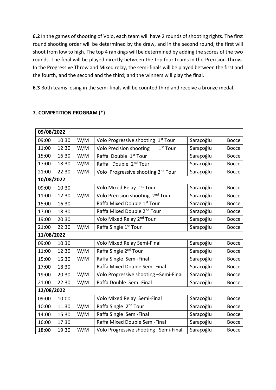**6.2** In the games of shooting of Volo, each team will have 2 rounds of shooting rights. The first round shooting order will be determined by the draw, and in the second round, the first will shoot from low to high. The top 4 rankings will be determined by adding the scores of the two rounds. The final will be played directly between the top four teams in the Precision Throw. In the Progressive Throw and Mixed relay, the semi-finals will be played between the first and the fourth, and the second and the third; and the winners will play the final.

**6.3** Both teams losing in the semi-finals will be counted third and receive a bronze medal.

#### **7. COMPETITION PROGRAM (\*)**

| 09/08/2022 |            |     |                                                        |           |              |  |  |
|------------|------------|-----|--------------------------------------------------------|-----------|--------------|--|--|
| 09:00      | 10:30      | W/M | Volo Progressive shooting<br>$1st$ Tour                | Saraçoğlu | <b>Bocce</b> |  |  |
| 11:00      | 12:30      | W/M | <b>Volo Precision shooting</b><br>1 <sup>st</sup> Tour | Saraçoğlu | <b>Bocce</b> |  |  |
| 15:00      | 16:30      | W/M | Raffa Double 1 <sup>st</sup> Tour                      | Saraçoğlu | <b>Bocce</b> |  |  |
| 17:00      | 18:30      | W/M | Double 2 <sup>nd</sup> Tour<br>Raffa                   | Saraçoğlu | <b>Bocce</b> |  |  |
| 21:00      | 22:30      | W/M | Volo Progressive shooting 2 <sup>nd</sup> Tour         | Saraçoğlu | <b>Bocce</b> |  |  |
|            | 10/08/2022 |     |                                                        |           |              |  |  |
| 09:00      | 10:30      |     | Volo Mixed Relay 1st Tour                              | Saraçoğlu | <b>Bocce</b> |  |  |
| 11:00      | 12:30      | W/M | Volo Precision shooting 2 <sup>nd</sup> Tour           | Saraçoğlu | <b>Bocce</b> |  |  |
| 15:00      | 16:30      |     | Raffa Mixed Double 1st Tour                            | Saraçoğlu | <b>Bocce</b> |  |  |
| 17:00      | 18:30      |     | Raffa Mixed Double 2 <sup>nd</sup> Tour                | Saraçoğlu | <b>Bocce</b> |  |  |
| 19:00      | 20:30      |     | Volo Mixed Relay 2 <sup>nd</sup> Tour                  | Saraçoğlu | <b>Bocce</b> |  |  |
| 21:00      | 22:30      | W/M | Raffa Single 1 <sup>st</sup> Tour                      | Saraçoğlu | <b>Bocce</b> |  |  |
|            | 11/08/2022 |     |                                                        |           |              |  |  |
| 09:00      | 10:30      |     | Volo Mixed Relay Semi-Final                            | Saraçoğlu | <b>Bocce</b> |  |  |
| 11:00      | 12:30      | W/M | Raffa Single 2 <sup>nd</sup> Tour                      | Saraçoğlu | <b>Bocce</b> |  |  |
| 15:00      | 16:30      | W/M | Raffa Single Semi-Final                                | Saraçoğlu | <b>Bocce</b> |  |  |
| 17:00      | 18:30      |     | Raffa Mixed Double Semi-Final                          | Saraçoğlu | <b>Bocce</b> |  |  |
| 19:00      | 20:30      | W/M | Volo Progressive shooting -Semi-Final                  | Saraçoğlu | <b>Bocce</b> |  |  |
| 21:00      | 22:30      | W/M | Raffa Double Semi-Final                                | Saraçoğlu | <b>Bocce</b> |  |  |
| 12/08/2022 |            |     |                                                        |           |              |  |  |
| 09:00      | 10:00      |     | Volo Mixed Relay Semi-Final                            | Saraçoğlu | <b>Bocce</b> |  |  |
| 10:00      | 11:30      | W/M | Raffa Single 2 <sup>nd</sup> Tour                      | Saraçoğlu | <b>Bocce</b> |  |  |
| 14:00      | 15:30      | W/M | Raffa Single Semi-Final                                | Saraçoğlu | <b>Bocce</b> |  |  |
| 16:00      | 17:30      |     | Raffa Mixed Double Semi-Final                          | Saraçoğlu | <b>Bocce</b> |  |  |
| 18:00      | 19:30      | W/M | Volo Progressive shooting Semi-Final                   | Saraçoğlu | <b>Bocce</b> |  |  |